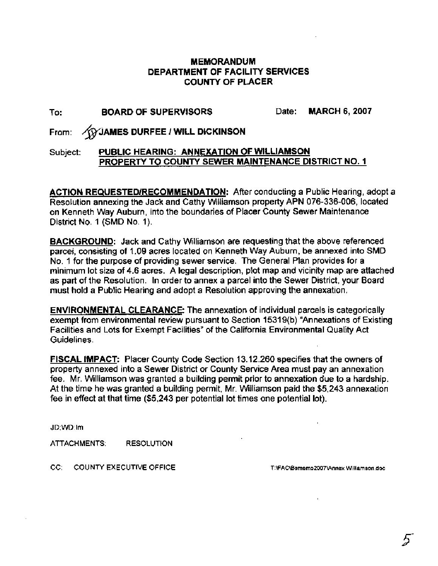#### **MEMORANDUM DEPARTMENT OF FACILITY SERVICES COUNTY OF PLACER**

### To: **BOARD OF SUPERVISORS** Date: **MARCH 6,2007**

From: **@JAMES DURFEE** I **WILL DICKINSON** 

#### Subject: **PUBLIC HEARING: ANNEXATION OF WILLIAMSON PROPERTY TO COUNTY SEWER MAINTENANCE DISTRICT NO. I**

**ACTION REQUESTEDIRECOMMENDATION:** After conducting a Public Hearing, adopt a Resolution annexing the Jack and Cathy Williamson property APN 076-336-006, located on Kenneth Way Auburn, into the boundaries of Placer County Sewer Maintenance District No. 1 (SMD No. 1).

**BACKGROUND:** Jack and Cathy Williamson are requesting that the above referenced parcel, consisting of 1.09 acres located on Kenneth Way Auburn, be annexed into SMD No. 1 for the purpose of providing sewer service. The General Plan provides for a minimum lot size of 4.6 acres. A legal description, plot map and vicinity map are attached as part of the Resolution. In order to annex a parcel into the Sewer District, your Board must hold a Public Hearing and adopt a Resolution approving the annexation.

**ENVIRONMENTAL CLEARANCE:** The annexation of individual parcels is categorically exempt from environmental review pursuant to Section 1531 9(b) "Annexations of Existing Facilities and Lots for Exempt Facilities" of the California Environmental Quality Act Guidelines.

**FISCAL IMPACT:** Placer County Code Section 13.12.260 specifies that the owners of property annexed into a Sewer District or County Service Area must pay an annexation fee. Mr. Williamson was granted a building permit prior to annexation due to a hardship. At the time he was granted a building permit, Mr. Williamson paid the \$5,243 annexation fee in effect at that time (\$5,243 per potential lot times one potential lot).

JD;WD:lm

ATTACHMENTS: RESOLUTION

CC: COUNTY EXECUTIVE OFFICE

T:\FAC\Bsmemo2007\Annex Williamson.doc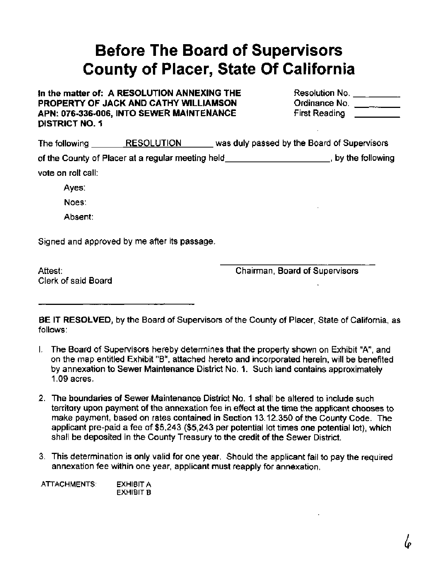## **Before The Board of Supervisors County of Placer, State Of California**

#### In the matter of: A RESOLUTION ANNEXING THE **PROPERTY OF JACK AND CATHY WILLIAMSON** APN: 076-336-006, INTO SEWER MAINTENANCE **DISTRICT** NO. 1

| Resolution No.       |  |
|----------------------|--|
| Ordinance No.        |  |
| <b>First Reading</b> |  |

| The following        | <b>RESOLUTION</b>                                 | was duly passed by the Board of Supervisors |
|----------------------|---------------------------------------------------|---------------------------------------------|
|                      | of the County of Placer at a regular meeting held | by the following                            |
| vote on roll call: l |                                                   |                                             |
| August 1             |                                                   |                                             |

Ayes:

Noes:

Absent:

Signed and approved by me after its passage.

Attest: Clerk of said Board Chairman, Board of Supervisors

**BE IT RESOLVED,** by the Board of Supervisors of the County of Placer, State of California, as follows:

- I. The Board of Supervisors hereby determines that the property shown on Exhibit "A", and on the map entitled Exhibit "B", attached hereto and incorporated herein, will be benefited by annexation to Sewer Maintenance District No. 1. Such land contains approximately 1.09 acres.
- 2. The boundaries of Sewer Maintenance District No. 1 shall be altered to include such territory upon payment of the annexation fee in effect at the time the applicant chooses to make payment, based on rates contained in Section 13.12.350 of the County Code. The applicant pre-paid a fee of \$5,243 (\$5,243 per potential lot times one potential lot), which shall be deposited in the County Treasury to the credit of the Sewer District.
- 3. This determination is only valid for one year. Should the applicant fail to pay the required annexation fee within one year, applicant must reapply for annexation.

ATTACHMENTS: EXHIBIT A EXHIBIT B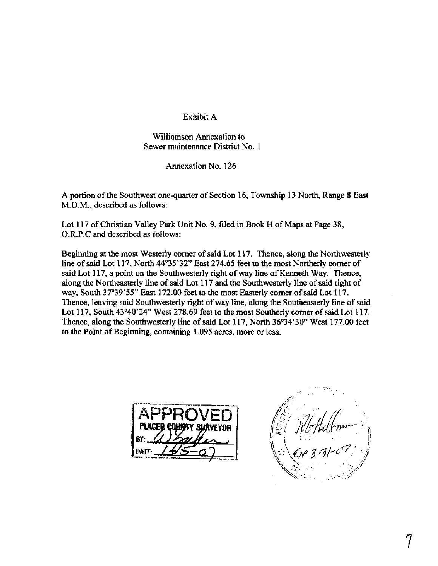#### Exhibit A

#### Williamson Annexation to Sewer maintenance District No. 1

Annexation No. 126

A portion of the Southwest one-quarter of Section 16, Township 13 North, Range 8 East M.D.M., described as follows:

Lot 117 of Christian Valley Park Unit No. 9, filed in Book H of Maps at Page 38, 0.R.P.C and described as follows:

Beginning at the most Westerly comer of said Lot 117. Thence, along the Northwesterly line of said Lot 117, North 44'35'32" East 274.65 feet to the most Northerly comer of said Lot 117, a point on the Southwesterly right of way line of Kenneth Way. Thence, along the Northeasterly line of said Lot 117 **and** the Southwesterly line of said right of way, South 37°39'55" East 172.00 feet to the most Easterly corner of said Lot 117. Thence, leaving said Southwesterly right of way line, along the Southeasterly line of said Lot 117, South 43°40'24" West 278.69 feet to the most Southerly corner of said Lot 117. Thence, along the Southwesterly line of said Lot 117, North 36°34'30" West 177.00 feet to the Point of Beginning, containing 1.095 acres, more or less.



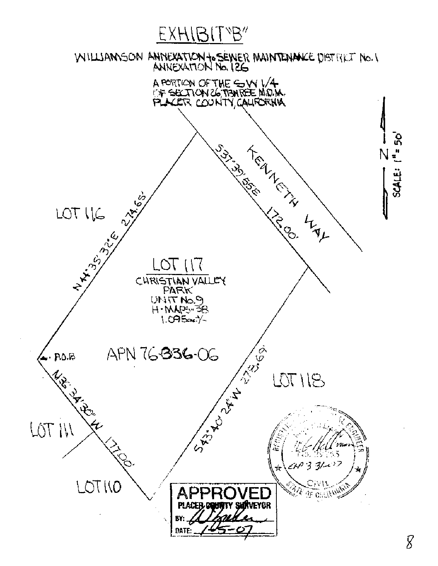# EXHIBITYB"